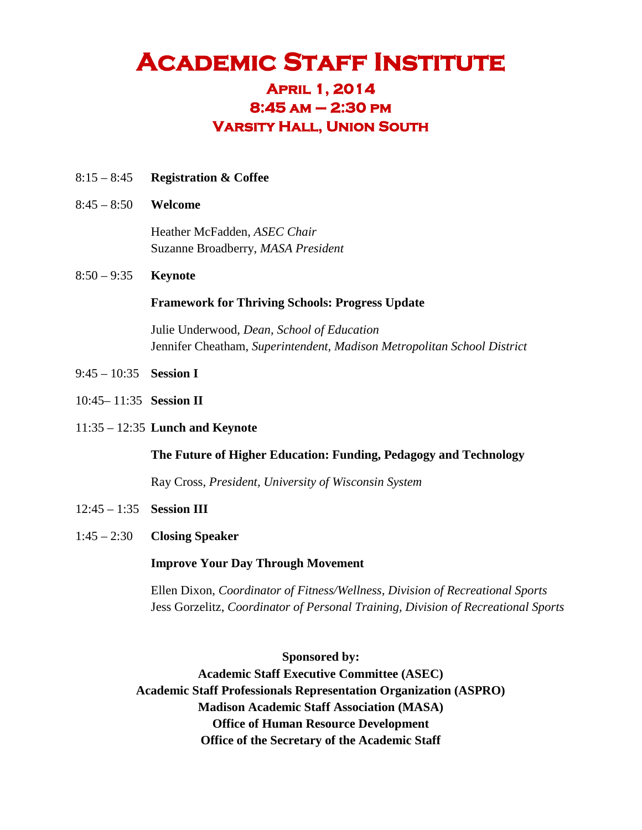# **ACADEMIC STAFF INSTITUTE 8:45 am – 2:30 pm**

### **Varsity Hall, Union South**

- 8:15 8:45 **Registration & Coffee**
- 8:45 8:50 **Welcome**

Heather McFadden, *ASEC Chair* Suzanne Broadberry, *MASA President*

8:50 – 9:35 **Keynote**

#### **Framework for Thriving Schools: Progress Update**

Julie Underwood, *Dean, School of Education* Jennifer Cheatham, *Superintendent, Madison Metropolitan School District*

- 9:45 10:35 **Session I**
- 10:45– 11:35 **Session II**
- 11:35 12:35 **Lunch and Keynote**

#### **The Future of Higher Education: Funding, Pedagogy and Technology**

Ray Cross, *President, University of Wisconsin System*

- 12:45 1:35 **Session III**
- 1:45 2:30 **Closing Speaker**

#### **Improve Your Day Through Movement**

Ellen Dixon, *Coordinator of Fitness/Wellness, Division of Recreational Sports* Jess Gorzelitz, *Coordinator of Personal Training, Division of Recreational Sports*

**Sponsored by:**

**Academic Staff Executive Committee (ASEC) Academic Staff Professionals Representation Organization (ASPRO) Madison Academic Staff Association (MASA) Office of Human Resource Development Office of the Secretary of the Academic Staff**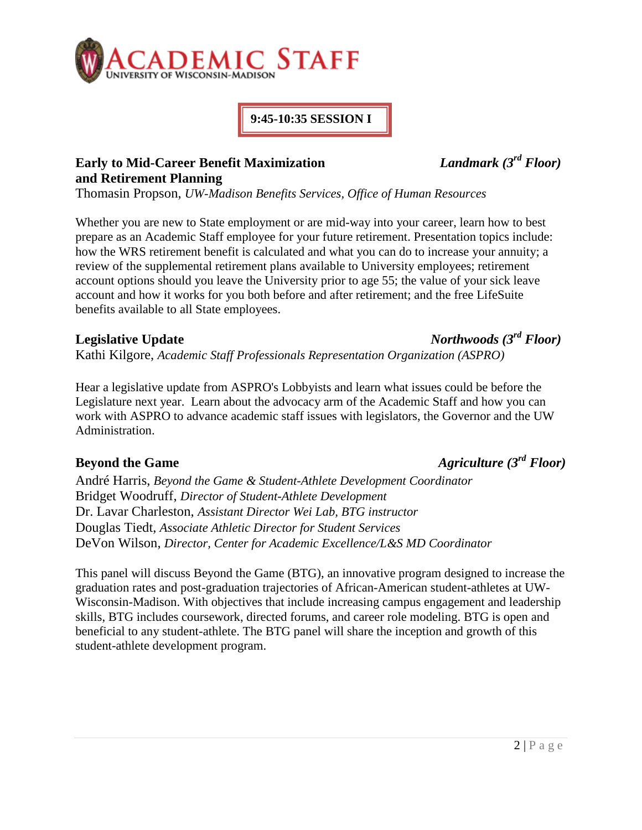

#### **9:45-10:35 SESSION I**

### **Early to Mid-Career Benefit Maximization** *Landmark (3rd Floor)* **and Retirement Planning**

Thomasin Propson, *UW-Madison Benefits Services, Office of Human Resources*

Whether you are new to State employment or are mid-way into your career, learn how to best prepare as an Academic Staff employee for your future retirement. Presentation topics include: how the WRS retirement benefit is calculated and what you can do to increase your annuity; a review of the supplemental retirement plans available to University employees; retirement account options should you leave the University prior to age 55; the value of your sick leave account and how it works for you both before and after retirement; and the free LifeSuite benefits available to all State employees.

Kathi Kilgore, *Academic Staff Professionals Representation Organization (ASPRO)*

Hear a legislative update from ASPRO's Lobbyists and learn what issues could be before the Legislature next year. Learn about the advocacy arm of the Academic Staff and how you can work with ASPRO to advance academic staff issues with legislators, the Governor and the UW Administration.

# **Beyond the Game** *Agriculture (3rd Floor)*

André Harris, *Beyond the Game & Student-Athlete Development Coordinator* Bridget Woodruff, *Director of Student-Athlete Development* Dr. Lavar Charleston, *Assistant Director Wei Lab, BTG instructor* Douglas Tiedt, *Associate Athletic Director for Student Services* DeVon Wilson, *Director, Center for Academic Excellence/L&S MD Coordinator*

This panel will discuss Beyond the Game (BTG), an innovative program designed to increase the graduation rates and post-graduation trajectories of African-American student-athletes at UW-Wisconsin-Madison. With objectives that include increasing campus engagement and leadership skills, BTG includes coursework, directed forums, and career role modeling. BTG is open and beneficial to any student-athlete. The BTG panel will share the inception and growth of this student-athlete development program.

#### $2 | P \text{ a } g \text{ e}$

# **Legislative Update** *Northwoods (3rd Floor)*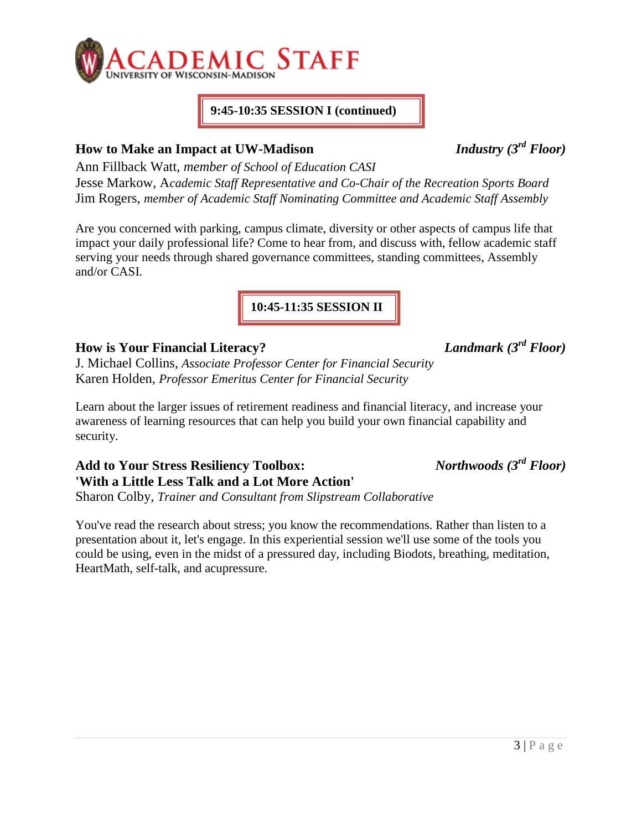

#### **9:45-10:35 SESSION I (continued)**

# **How to Make an Impact at UW-Madison** *Industry (3rd Floor)*

Ann Fillback Watt, *member of School of Education CASI* Jesse Markow, A*cademic Staff Representative and Co-Chair of the Recreation Sports Board* Jim Rogers, *member of Academic Staff Nominating Committee and Academic Staff Assembly*

Are you concerned with parking, campus climate, diversity or other aspects of campus life that impact your daily professional life? Come to hear from, and discuss with, fellow academic staff serving your needs through shared governance committees, standing committees, Assembly and/or CASI.

**10:45-11:35 SESSION II**

# **How is Your Financial Literacy?** *Landmark (3rd Floor)*

J. Michael Collins, *Associate Professor Center for Financial Security* Karen Holden, *Professor Emeritus Center for Financial Security*

Learn about the larger issues of retirement readiness and financial literacy, and increase your awareness of learning resources that can help you build your own financial capability and security.

**Add to Your Stress Resiliency Toolbox:** *Northwoods (3rd Floor)* **'With a Little Less Talk and a Lot More Action'**

Sharon Colby, *Trainer and Consultant from Slipstream Collaborative*

You've read the research about stress; you know the recommendations. Rather than listen to a presentation about it, let's engage. In this experiential session we'll use some of the tools you could be using, even in the midst of a pressured day, including Biodots, breathing, meditation, HeartMath, self-talk, and acupressure.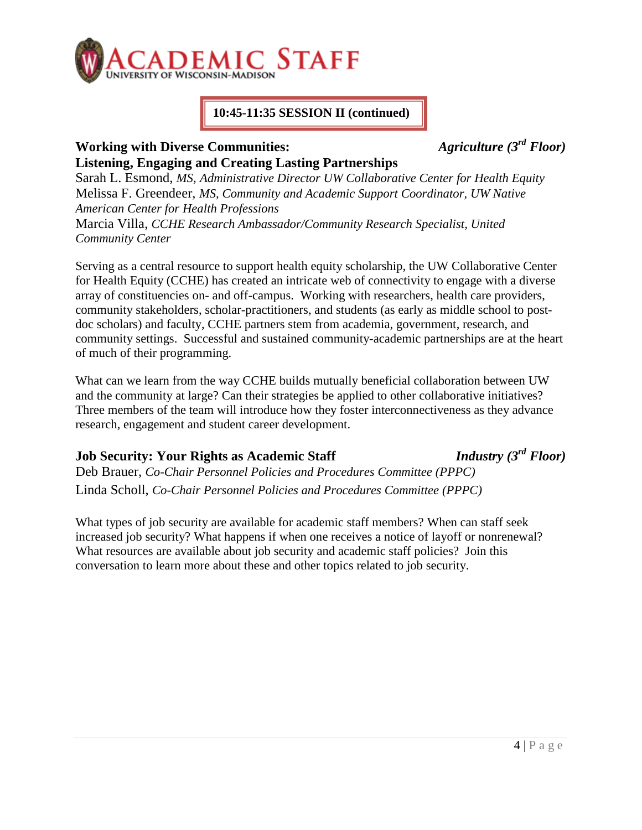

### **10:45-11:35 SESSION II (continued)**

# **Working with Diverse Communities:** *Agriculture (3rd Floor)* **Listening, Engaging and Creating Lasting Partnerships**

Sarah L. Esmond, *MS, Administrative Director UW Collaborative Center for Health Equity*  Melissa F. Greendeer, *MS, Community and Academic Support Coordinator, UW Native American Center for Health Professions* Marcia Villa, *CCHE Research Ambassador/Community Research Specialist, United Community Center*

Serving as a central resource to support health equity scholarship, the UW Collaborative Center for Health Equity (CCHE) has created an intricate web of connectivity to engage with a diverse array of constituencies on- and off-campus. Working with researchers, health care providers, community stakeholders, scholar-practitioners, and students (as early as middle school to postdoc scholars) and faculty, CCHE partners stem from academia, government, research, and community settings. Successful and sustained community-academic partnerships are at the heart of much of their programming.

What can we learn from the way CCHE builds mutually beneficial collaboration between UW and the community at large? Can their strategies be applied to other collaborative initiatives? Three members of the team will introduce how they foster interconnectiveness as they advance research, engagement and student career development.

# **Job Security: Your Rights as Academic Staff** *Industry (3rd Floor)*

Deb Brauer, *Co-Chair Personnel Policies and Procedures Committee (PPPC)* Linda Scholl, *Co-Chair Personnel Policies and Procedures Committee (PPPC)*

What types of job security are available for academic staff members? When can staff seek increased job security? What happens if when one receives a notice of layoff or nonrenewal? What resources are available about job security and academic staff policies? Join this conversation to learn more about these and other topics related to job security.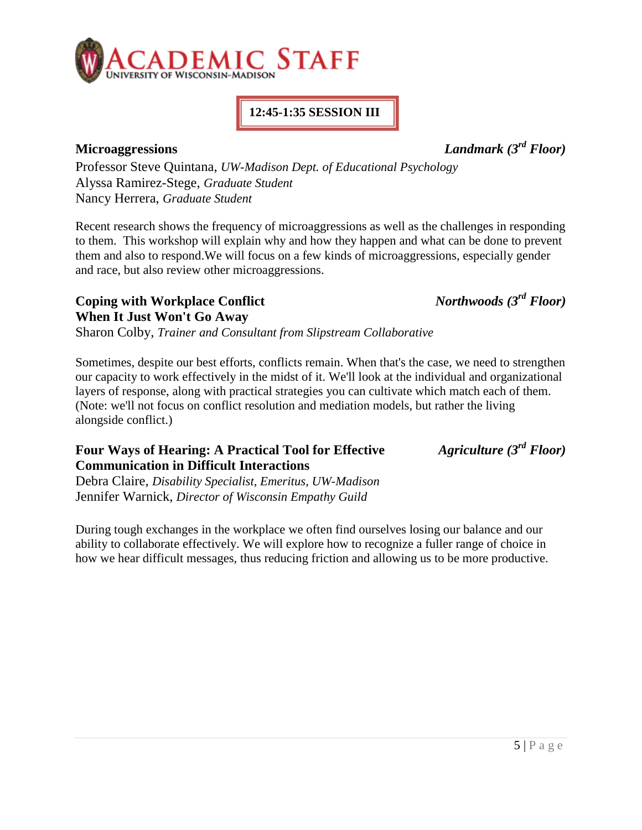

# **12:45-1:35 SESSION III**

**Microaggressions** *Landmark (3rd Floor)*

Professor Steve Quintana, *UW-Madison Dept. of Educational Psychology* Alyssa Ramirez-Stege, *Graduate Student* Nancy Herrera, *Graduate Student*

Recent research shows the frequency of microaggressions as well as the challenges in responding to them. This workshop will explain why and how they happen and what can be done to prevent them and also to respond.We will focus on a few kinds of microaggressions, especially gender and race, but also review other microaggressions.

**Coping with Workplace Conflict** *Northwoods (3rd Floor)* **When It Just Won't Go Away**

Sharon Colby, *Trainer and Consultant from Slipstream Collaborative*

Sometimes, despite our best efforts, conflicts remain. When that's the case, we need to strengthen our capacity to work effectively in the midst of it. We'll look at the individual and organizational layers of response, along with practical strategies you can cultivate which match each of them. (Note: we'll not focus on conflict resolution and mediation models, but rather the living alongside conflict.)

#### **Four Ways of Hearing: A Practical Tool for Effective** *Agriculture (3rd Floor)* **Communication in Difficult Interactions**

Debra Claire, *Disability Specialist, Emeritus, UW-Madison* Jennifer Warnick, *Director of Wisconsin Empathy Guild*

During tough exchanges in the workplace we often find ourselves losing our balance and our ability to collaborate effectively. We will explore how to recognize a fuller range of choice in how we hear difficult messages, thus reducing friction and allowing us to be more productive.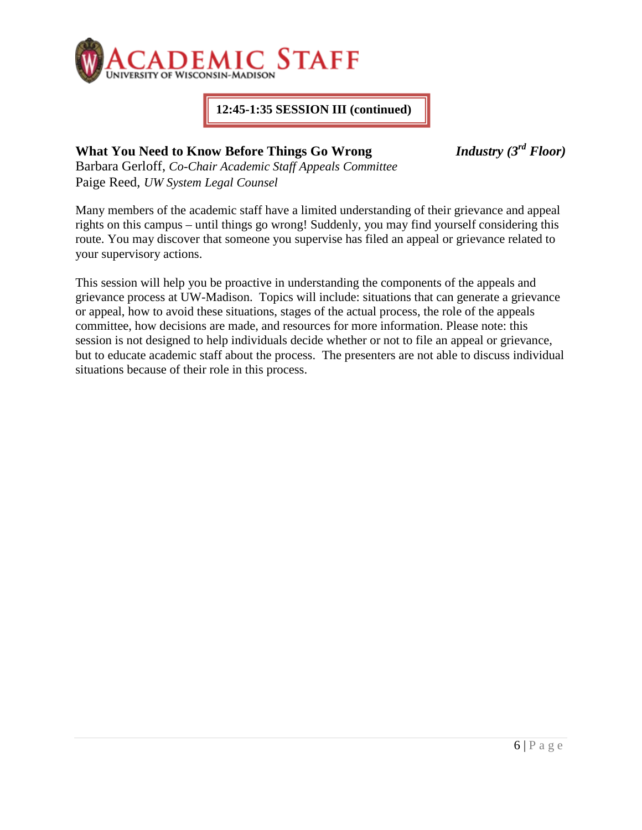

### **12:45-1:35 SESSION III (continued)**

# **What You Need to Know Before Things Go Wrong** *Industry (3rd Floor)*

Barbara Gerloff, *Co-Chair Academic Staff Appeals Committee* Paige Reed, *UW System Legal Counsel*

Many members of the academic staff have a limited understanding of their grievance and appeal rights on this campus – until things go wrong! Suddenly, you may find yourself considering this route. You may discover that someone you supervise has filed an appeal or grievance related to your supervisory actions.

This session will help you be proactive in understanding the components of the appeals and grievance process at UW-Madison. Topics will include: situations that can generate a grievance or appeal, how to avoid these situations, stages of the actual process, the role of the appeals committee, how decisions are made, and resources for more information. Please note: this session is not designed to help individuals decide whether or not to file an appeal or grievance, but to educate academic staff about the process. The presenters are not able to discuss individual situations because of their role in this process.